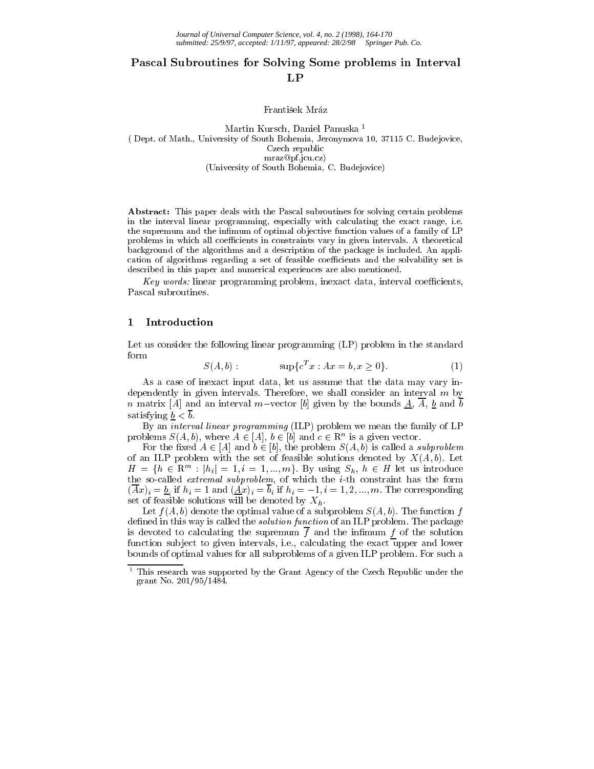# Pascal Subroutines for Solving Some problems in Interval LP

František Mráz

Martin Kursch, Daniel Panuska <sup>1</sup> ( Dept. of Math., University of South Bohemia, Jeronymova 10, 37115 C. Budejovice, Czech republic mraz@pf.jcu.cz) (University of South Bohemia, C. Budejovice)

Abstract: This paper deals with the Pascal subroutines for solving certain problems in the interval linear programming, especially with calculating the exact range, i.e. the supremum and the infimum of optimal objective function values of a family of LP problems in which all coefficients in constraints vary in given intervals. A theoretical background of the algorithms and a description of the package is included. An application of algorithms regarding a set of feasible coefficients and the solvability set is described in this paper and numerical experiences are also mentioned.

 $Key\ work$ , linear programming problem, inexact data, interval coemclems, Pascal subroutines.

#### $\mathbf{1}$ Introduction

Let us consider the following linear programming (LP) problem in the standard form

$$
S(A, b): \qquad \qquad \sup \{c^T x : Ax = b, x \ge 0\}.\tag{1}
$$

As a case of inexact input data, let us assume that the data may vary independently in given intervals. Therefore, we shall consider an interval  $m$  by n matrix [A] and an interval m-vector [b] given by the bounds  $\underline{A}$ ,  $\overline{A}$ ,  $\underline{b}$  and  $\overline{b}$ satisfying  $b < \overline{b}$ .

By an interval linear programming (ILP) problem we mean the family of LP problems  $S(A, \theta)$ , where  $A \in |A|$ ,  $\theta \in |\theta|$  and  $c \in \mathbb{R}^n$  is a given vector.

For the fixed  $A \in [A]$  and  $b \in [b]$ , the problem  $S(A, b)$  is called a *subproblem* of an ILP problem with the set of feasible solutions denoted by  $X(A, b)$ . Let  $H = \{h \in \mathbb{R}^m : |h_i| = 1, i = 1, ..., m\}$ . By using  $S_h, h \in H$  let us introduce the so-called extremal subproblem, of which the i-th constraint has the form (Axii = 1 and (Axii = 1)i ii = 1; ii = 1; ii = 1; ii = 1; ii = 1; ii = 1; ii = 1; ii = 1; ii = 1; ii = 1; ii = set of features solutions will be denoted by  $\mathcal{L}_{\mathcal{A}}$  ,  $\mathcal{L}_{\mathcal{A}}$ 

Let  $f(A, b)$  denote the optimal value of a subproblem  $S(A, b)$ . The function f defined in this way is called the *solution function* of an ILP problem. The package is devoted to calculating the supremum  $f$  and the infimum  $f$  of the solution function subject to given intervals, i.e., calculating the exact upper and lower bounds of optimal values for all subproblems of a given ILP problem. For such a

<sup>1</sup> This research was supported by the Grant Agency of the Czech Republic under the grant No. 201/95/1484.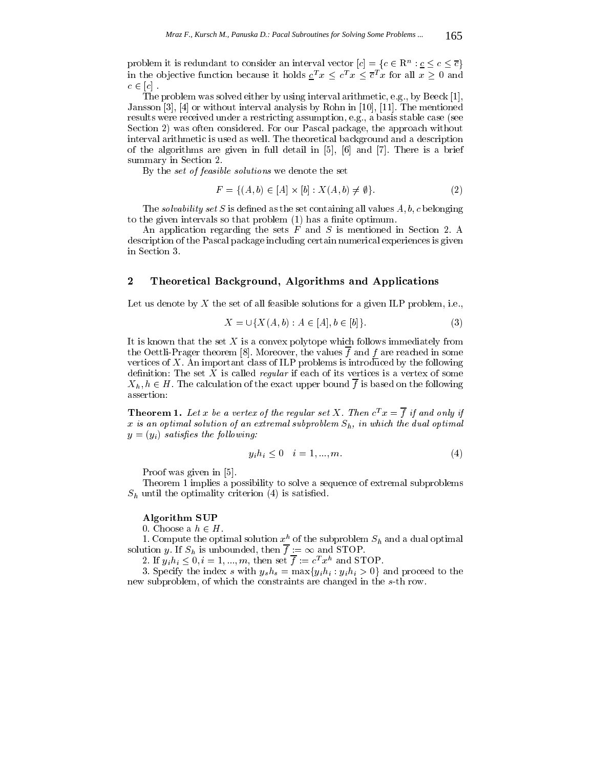problem it is redundant to consider an interval vector  $|c| = \{c \in \mathbb{R}^+ : c \leq c \leq c\}$ in the objective function because it holds  $c^T x \leq c^T x \leq \overline{c}^T x$  for all  $x \geq 0$  and  $\sim$  2  $\sim$  1  $\sim$  2  $\sim$  2  $\sim$  2  $\sim$  2  $\sim$  2  $\sim$  2  $\sim$  2  $\sim$  2  $\sim$  2  $\sim$  2  $\sim$  2  $\sim$  2  $\sim$  2  $\sim$  2  $\sim$  2  $\sim$  2  $\sim$  2  $\sim$  2  $\sim$  2  $\sim$  2  $\sim$  2  $\sim$  2  $\sim$  2  $\sim$  2  $\sim$  2  $\sim$  2  $\sim$  2  $\sim$  2  $\sim$  2  $\sim$ 

The problem was solved either by using interval arithmetic, e.g., by Beeck [1], Jansson [3], [4] or without interval analysis by Rohn in [10], [11]. The mentioned results were received under a restricting assumption, e.g., a basis stable case (see Section 2) was often considered. For our Pascal package, the approach without interval arithmetic is used as well. The theoretical background and a description of the algorithms are given in full detail in [5], [6] and [7]. There is a brief summary in Section 2.

By the *set of feasible solutions* we denote the set

$$
F = \{(A, b) \in [A] \times [b] : X(A, b) \neq \emptyset\}.
$$
 (2)

The *solvability set* S is defined as the set containing all values  $A, b, c$  belonging to the given intervals so that problem (1) has a finite optimum.

An application regarding the sets  $F$  and  $S$  is mentioned in Section 2. A description of the Pascal package including certain numerical experiences is given in Section 3.

## 2 Theoretical Background, Algorithms and Applications

Let us denote by X the set of all feasible solutions for a given ILP problem, i.e.,

$$
X = \bigcup \{ X(A, b) : A \in [A], b \in [b] \}.
$$
 (3)

It is known that the set  $X$  is a convex polytope which follows immediately from the Oettli-Prager theorem [8]. Moreover, the values  $\overline{f}$  and  $f$  are reached in some vertices of  $X$ . An important class of ILP problems is introduced by the following definition: The set X is called *regular* if each of its vertices is a vertex of some  $X_h, h \in H$ . The calculation of the exact upper bound  $\overline{f}$  is based on the following assertion:

**Theorem 1.** Let x be a vertex of the regular set X. Then  $c^T x = \overline{f}$  if and only if x is an optimal solution of an extremal subproblem  $S_h$ , in which the dual optimal  $y = (y_i)$  satisfies the following:

$$
y_i h_i \le 0 \quad i = 1, \dots, m. \tag{4}
$$

Proof was given in [5].

Theorem 1 implies a possibility to solve a sequence of extremal subproblems  $S_h$  until the optimality criterion (4) is satisfied.

### Algorithm SUP

0. Choose a  $h \in H$ .

1. Compute the optimal solution  $x_0^h$  of the subproblem  $S_h$  and a dual optimal solution y. If  $S_h$  is unbounded, then  $\overline{f} := \infty$  and STOP.<br>2. If  $y_i h_i \leq 0, i = 1, ..., m$ , then set  $\overline{f} := c^T x^h$  and STOP.

3. Specify the index s with  $y_s h_s = \max\{y_i h_i : y_i h_i > 0\}$  and proceed to the new subproblem, of which the constraints are changed in the s-th row.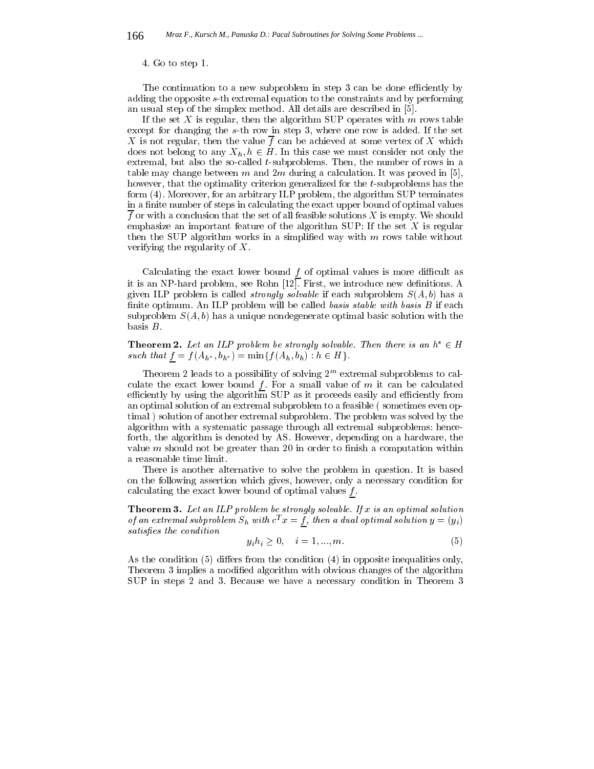#### 4. Go to step 1.

The continuation to a new subproblem in step 3 can be done efficiently by adding the opposite s-th extremal equation to the constraints and by performing an usual step of the simplex method. All details are described in [5].

If the set X is regular, then the algorithm SUP operates with  $m$  rows table except for changing the s-th row in step 3, where one row is added. If the set X is not regular, then the value  $\overline{f}$  can be achieved at some vertex of X which does not belong to any  $X_h, h \in H$ . In this case we must consider not only the extremal, but also the so-called  $t$ -subproblems. Then, the number of rows in a table may change between m and  $2m$  during a calculation. It was proved in [5], however, that the optimality criterion generalized for the t-subproblems has the form (4). Moreover, for an arbitrary ILP problem, the algorithm SUP terminates in a finite number of steps in calculating the exact upper bound of optimal values  $f$  or with a conclusion that the set of all feasible solutions  $X$  is empty. We should emphasize an important feature of the algorithm  $\text{SUP: If the set } X$  is regular then the SUP algorithm works in a simplified way with  $m$  rows table without verifying the regularity of X.

Calculating the exact lower bound  $f$  of optimal values is more difficult as it is an NP-hard problem, see Rohn [12]. First, we introduce new definitions. A given ILP problem is called *strongly solvable* if each subproblem  $S(A, b)$  has a finite optimum. An ILP problem will be called basis stable with basis  $B$  if each subproblem  $S(A, b)$  has a unique nondegenerate optimal basic solution with the basis B.

**Theorem 2.** Let an ILP problem be strongly solvable. Then there is an  $h^* \in H$ such that  $f = f(A_h^*, \theta_h^*) = \min\{f(A_h, \theta_h) : h \in H\}$ .

Theorem 2 leads to a possibility of solving 2m extremal subproblems to calculate the exact lower bound  $f$ . For a small value of  $m$  it can be calculated efficiently by using the algorithm SUP as it proceeds easily and efficiently from an optimal solution of an extremal subproblem to a feasible ( sometimes even optimal ) solution of another extremal subproblem. The problem was solved by the algorithm with a systematic passage through all extremal subproblems: henceforth, the algorithm is denoted by AS. However, depending on a hardware, the value  $m$  should not be greater than 20 in order to finish a computation within a reasonable time limit.

There is another alternative to solve the problem in question. It is based on the following assertion which gives, however, only a necessary condition for calculating the exact lower bound of optimal values  $f$ .

**Theorem 3.** Let an ILP problem be strongly solvable. If x is an optimal solution of an extremal subproblem  $S_h$  with  $c^T x = f$ , then a dual optimal solution  $y = (y_i)$ satisfies the condition

$$
y_i h_i \ge 0, \quad i = 1, ..., m. \tag{5}
$$

As the condition  $(5)$  differs from the condition  $(4)$  in opposite inequalities only, Theorem 3 implies a modified algorithm with obvious changes of the algorithm SUP in steps 2 and 3. Because we have a necessary condition in Theorem 3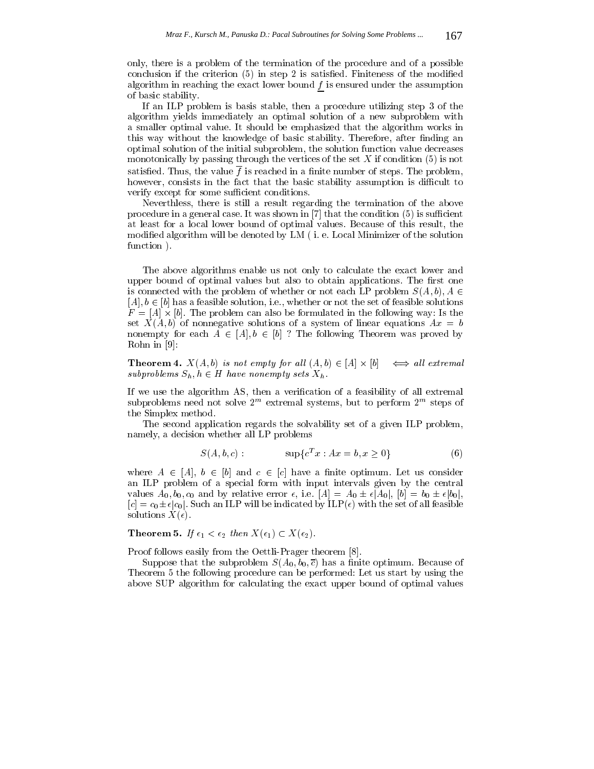only, there is a problem of the termination of the procedure and of a possible conclusion if the criterion  $(5)$  in step 2 is satisfied. Finiteness of the modified algorithm in reaching the exact lower bound  $f$  is ensured under the assumption of basic stability.

If an ILP problem is basis stable, then a procedure utilizing step 3 of the algorithm yields immediately an optimal solution of a new subproblem with a smaller optimal value. It should be emphasized that the algorithm works in this way without the knowledge of basic stability. Therefore, after finding an optimal solution of the initial subproblem, the solution function value decreases monotonically by passing through the vertices of the set  $X$  if condition  $(5)$  is not satisfied. Thus, the value  $f$  is reached in a finite number of steps. The problem, however, consists in the fact that the basic stability assumption is difficult to verify except for some sufficient conditions.

Neverthless, there is still a result regarding the termination of the above procedure in a general case. It was shown in  $[7]$  that the condition  $(5)$  is sufficient at least for a local lower bound of optimal values. Because of this result, the modied algorithm will be denoted by LM ( i. e. Local Minimizer of the solution function ).

The above algorithms enable us not only to calculate the exact lower and upper bound of optimal values but also to obtain applications. The first one is connected with the problem of whether or not each LP problem  $S(A, b), A \in$  $[A], b \in [b]$  has a feasible solution, i.e., whether or not the set of feasible solutions  $\mathbf{F}$  and problem can also be formulated in the following way: Is the following way: Is the following way: set  $X(A, b)$  of nonnegative solutions of a system of linear equations  $Ax = b$ nonempty for each  $\sim$  [A]; b 2 [b] ? The following Theorem was proved by Rohn in [9]:

**THEOREM 4.**  $A(A, v)$  is not empty for an  $(A, v) \in |A| \wedge |v| \longleftrightarrow$  an extremal subproblems  $S_h$ ,  $h \in H$  have nonempty sets  $\Lambda_h$ .

If we use the algorithm AS, then a verification of a feasibility of all extremal subproblems need not solve  $2^{m}$  extremal systems, but to perform  $2^{m}$  steps of the Simplex method.

The second application regards the solvability set of a given ILP problem, namely, a decision whether all LP problems

$$
S(A, b, c): \t\t sup{cT x : Ax = b, x \ge 0}
$$
\t(6)

where A 2 [A], b 2 [A], b 2 [c] and c2 [c] have a nite optimum. Let us consider the optimum of the optimum of t an ILP problem of a special form with input intervals given by the central values  $A_0$ ,  $b_0$ ,  $c_0$  and by relative error  $\epsilon$ , i.e.  $[A] = A_0 \pm \epsilon |A_0|$ ,  $[b] = b_0 \pm \epsilon |b_0|$ ,  $[c] = c_0 \pm \epsilon |c_0|$ . Such an ILP will be indicated by ILP $(\epsilon)$  with the set of all feasible solutions  $X(\epsilon)$ .

**Theorem 5.** If  $\epsilon_1 < \epsilon_2$  then  $X(\epsilon_1) \subset X(\epsilon_2)$ .

Proof follows easily from the Oettli-Prager theorem [8].

Suppose that the subproblem  $S(A_0, b_0, \overline{c})$  has a finite optimum. Because of Theorem 5 the following procedure can be performed: Let us start by using the above SUP algorithm for calculating the exact upper bound of optimal values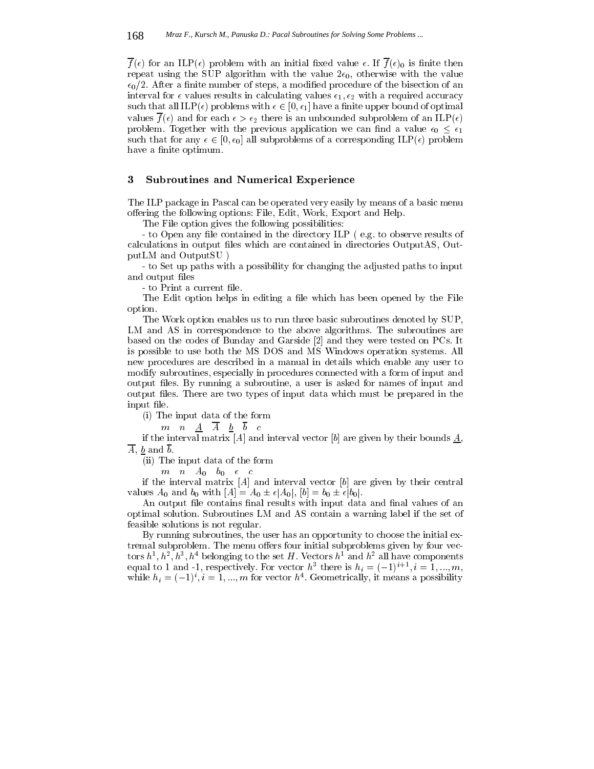$\overline{f}(\epsilon)$  for an ILP( $\epsilon$ ) problem with an initial fixed value  $\epsilon$ . If  $\overline{f}(\epsilon)$ <sub>0</sub> is finite then repeat using the SUP algorithm with the value  $2\epsilon_0$ , otherwise with the value  $\epsilon_0/2$ . After a finite number of steps, a modified procedure of the bisection of an interval for  $\epsilon$  values results in calculating values  $\epsilon_1, \epsilon_2$  with a required accuracy such that all  $ILP(\epsilon)$  problems with  $\epsilon \in [0, \epsilon_1]$  have a finite upper bound of optimal values  $\overline{f}(\epsilon)$  and for each  $\epsilon > \epsilon_2$  there is an unbounded subproblem of an ILP( $\epsilon$ ) problem. Together with the previous application we can find a value  $\epsilon_0 \leq \epsilon_1$ such that for any  $\epsilon \in [0, \epsilon_0]$  all subproblems of a corresponding ILP( $\epsilon$ ) problem have a finite optimum.

# 3 Subroutines and Numerical Experience

The ILP package in Pascal can be operated very easily by means of a basic menu offering the following options: File, Edit, Work, Export and Help.

The File option gives the following possibilities:

- to Open any file contained in the directory ILP (e.g. to observe results of calculations in output files which are contained in directories OutputAS, OutputLM and OutputSU )

- to Set up paths with a possibility for changing the adjusted paths to input and output files

- to Print a current file.

The Edit option helps in editing a file which has been opened by the File option.

The Work option enables us to run three basic subroutines denoted by SUP, LM and AS in correspondence to the above algorithms. The subroutines are based on the codes of Bunday and Garside [2] and they were tested on PCs. It is possible to use both the MS DOS and MS Windows operation systems. All new procedures are described in a manual in details which enable any user to modify subroutines, especially in procedures connected with a form of input and output files. By running a subroutine, a user is asked for names of input and output les. There are two types of input data which must be prepared in the input file.

(i) The input data of the form

 $m$   $n$   $A$   $\overline{A}$   $\overline{b}$   $\overline{b}$   $c$ 

if the interval matrix [A] and interval vector [b] are given by their bounds  $\underline{A}$ ,  $\overline{A}$ , b and  $\overline{b}$ .

(ii) The input data of the form

 $m$   $n$   $A_0$   $b_0$   $\epsilon$   $c$ 

if the interval matrix  $[A]$  and interval vector  $[b]$  are given by their central values  $A_0$  and  $b_0$  with  $[A] = A_0 \pm \epsilon |A_0|$ ,  $[b] = b_0 \pm \epsilon |b_0|$ .

An output file contains final results with input data and final values of an optimal solution. Subroutines LM and AS contain a warning label if the set of feasible solutions is not regular.

By running subroutines, the user has an opportunity to choose the initial extremal subproblem. The menu offers four initial subproblems given by four vectors  $h^-, h^-, h^-, h^-$  belonging to the set  $H$  . Vectors  $h^+$  and  $h^-$  all have components equal to 1 and -1, respectively. For vector  $n=$  there is  $n_i = (-1)$ ,  $i = 1, ..., m$ , while  $n_i = (-1)$ ,  $i = 1, ..., m$  for vector  $n_i$ . Geometrically, it means a possibility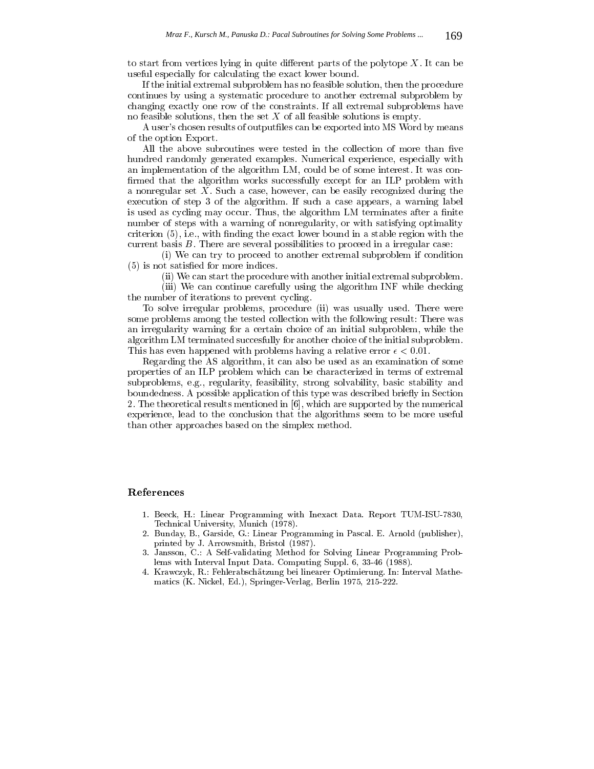to start from vertices lying in quite different parts of the polytope  $X$ . It can be useful especially for calculating the exact lower bound.

If the initial extremal subproblem has no feasible solution, then the procedure continues by using a systematic procedure to another extremal subproblem by changing exactly one row of the constraints. If all extremal subproblems have no feasible solutions, then the set  $X$  of all feasible solutions is empty.

A user's chosen results of outputfiles can be exported into MS Word by means of the option Export.

All the above subroutines were tested in the collection of more than five hundred randomly generated examples. Numerical experience, especially with an implementation of the algorithm LM, could be of some interest. It was con firmed that the algorithm works successfully except for an ILP problem with a nonregular set X. Such a case, however, can be easily recognized during the execution of step 3 of the algorithm. If such a case appears, a warning label is used as cycling may occur. Thus, the algorithm LM terminates after a finite number of steps with a warning of nonregularity, or with satisfying optimality  $criterion (5)$ , i.e., with finding the exact lower bound in a stable region with the current basis  $B$ . There are several possibilities to proceed in a irregular case:

(i) We can try to proceed to another extremal subproblem if condition (5) is not satised for more indices.

(ii) We can start the procedure with another initial extremal subproblem.

(iii) We can continue carefully using the algorithm INF while checking the number of iterations to prevent cycling.

To solve irregular problems, procedure (ii) was usually used. There were some problems among the tested collection with the following result: There was an irregularity warning for a certain choice of an initial subproblem, while the algorithm LM terminated succesfully for another choice of the initial subproblem. This has even happened with problems having a relative error  $\epsilon < 0.01$ .

Regarding the AS algorithm, it can also be used as an examination of some properties of an ILP problem which can be characterized in terms of extremal subproblems, e.g., regularity, feasibility, strong solvability, basic stability and boundedness. A possible application of this type was described briefly in Section 2. The theoretical results mentioned in [6], which are supported by the numerical experience, lead to the conclusion that the algorithms seem to be more useful than other approaches based on the simplex method.

### References

- 1. Beeck, H.: Linear Programming with Inexact Data. Report TUM-ISU-7830, Technical University, Munich (1978).
- 2. Bunday, B., Garside, G.: Linear Programming in Pascal. E. Arnold (publisher), printed by J. Arrowsmith, Bristol (1987).
- 3. Jansson, C.: A Self-validating Method for Solving Linear Programming Problems with Interval Input Data. Computing Suppl. 6, 33-46 (1988).
- 4. Krawczyk, R.: Fehlerabschatzung bei linearer Optimierung. In: Interval Mathematics (K. Nickel, Ed.), Springer-Verlag, Berlin 1975, 215-222.